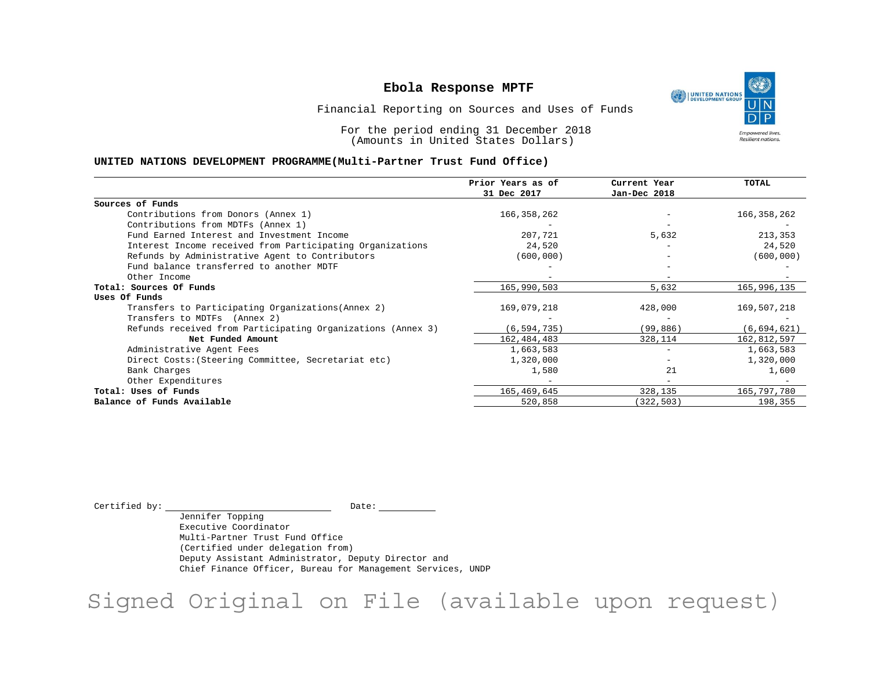٩ UNITED NATIONS **Empowered lives** Resilient nations.

Financial Reporting on Sources and Uses of Funds

For the period ending 31 December 2018 (Amounts in United States Dollars)

#### **UNITED NATIONS DEVELOPMENT PROGRAMME(Multi-Partner Trust Fund Office)**

|                                                             | Prior Years as of | Current Year             | <b>TOTAL</b> |
|-------------------------------------------------------------|-------------------|--------------------------|--------------|
|                                                             | 31 Dec 2017       | Jan-Dec 2018             |              |
| Sources of Funds                                            |                   |                          |              |
| Contributions from Donors (Annex 1)                         | 166, 358, 262     |                          | 166,358,262  |
| Contributions from MDTFs (Annex 1)                          |                   |                          |              |
| Fund Earned Interest and Investment Income                  | 207,721           | 5,632                    | 213,353      |
| Interest Income received from Participating Organizations   | 24,520            |                          | 24,520       |
| Refunds by Administrative Agent to Contributors             | (600, 000)        |                          | (600, 000)   |
| Fund balance transferred to another MDTF                    |                   |                          |              |
| Other Income                                                |                   |                          |              |
| Total: Sources Of Funds                                     | 165,990,503       | 5,632                    | 165,996,135  |
| Uses Of Funds                                               |                   |                          |              |
| Transfers to Participating Organizations (Annex 2)          | 169,079,218       | 428,000                  | 169,507,218  |
| Transfers to MDTFs (Annex 2)                                |                   |                          |              |
| Refunds received from Participating Organizations (Annex 3) | (6, 594, 735)     | (99, 886)                | (6,694,621)  |
| Net Funded Amount                                           | 162, 484, 483     | 328,114                  | 162,812,597  |
| Administrative Agent Fees                                   | 1,663,583         | $\overline{\phantom{0}}$ | 1,663,583    |
| Direct Costs: (Steering Committee, Secretariat etc)         | 1,320,000         |                          | 1,320,000    |
| Bank Charges                                                | 1,580             | 21                       | 1,600        |
| Other Expenditures                                          |                   |                          |              |
| Total: Uses of Funds                                        | 165,469,645       | 328,135                  | 165,797,780  |
| Balance of Funds Available                                  | 520,858           | 322,503)                 | 198,355      |

 $\begin{picture}(180,180)(0,0) \put(0,0){\vector(1,0){180}} \put(15,0){\vector(1,0){180}} \put(15,0){\vector(1,0){180}} \put(15,0){\vector(1,0){180}} \put(15,0){\vector(1,0){180}} \put(15,0){\vector(1,0){180}} \put(15,0){\vector(1,0){180}} \put(15,0){\vector(1,0){180}} \put(15,0){\vector(1,0){180}} \put(15,0){\vector(1,0){180}} \put(15,0){\vector(1,0$ 

Jennifer Topping Executive Coordinator Multi-Partner Trust Fund Office (Certified under delegation from) Deputy Assistant Administrator, Deputy Director and Chief Finance Officer, Bureau for Management Services, UNDP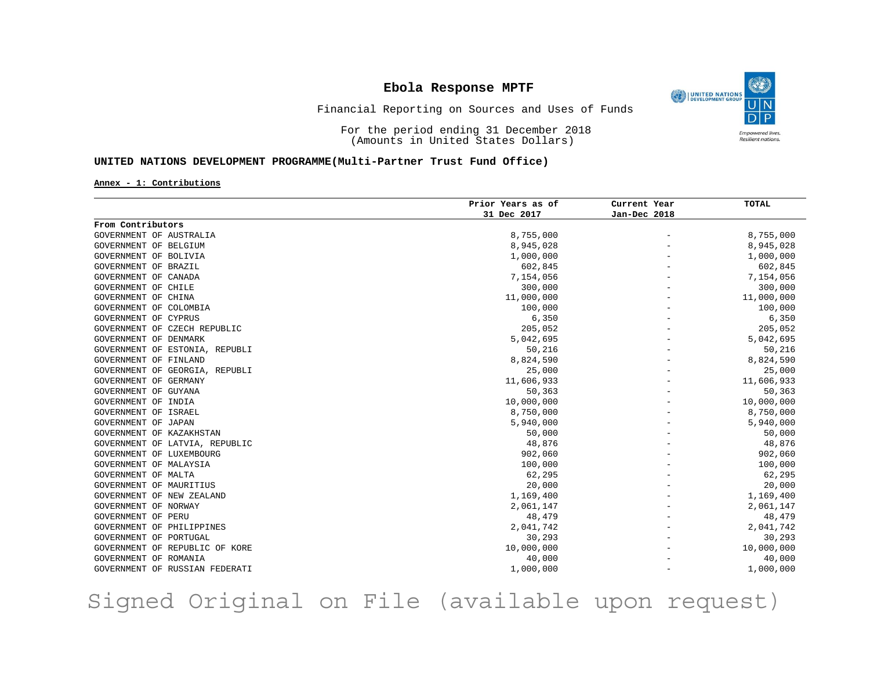O UNITED NATIONS **Empowered lives** Resilient nations.

### Financial Reporting on Sources and Uses of Funds

For the period ending 31 December 2018 (Amounts in United States Dollars)

### **UNITED NATIONS DEVELOPMENT PROGRAMME(Multi-Partner Trust Fund Office)**

**Annex - 1: Contributions**

|                                | Prior Years as of | Current Year             | <b>TOTAL</b> |
|--------------------------------|-------------------|--------------------------|--------------|
|                                | 31 Dec 2017       | Jan-Dec 2018             |              |
| From Contributors              |                   |                          |              |
| GOVERNMENT OF AUSTRALIA        | 8,755,000         | $\overline{\phantom{m}}$ | 8,755,000    |
| GOVERNMENT OF BELGIUM          | 8,945,028         |                          | 8,945,028    |
| GOVERNMENT OF BOLIVIA          | 1,000,000         |                          | 1,000,000    |
| GOVERNMENT OF BRAZIL           | 602,845           |                          | 602,845      |
| GOVERNMENT OF CANADA           | 7,154,056         |                          | 7,154,056    |
| GOVERNMENT OF CHILE            | 300,000           |                          | 300,000      |
| GOVERNMENT OF CHINA            | 11,000,000        |                          | 11,000,000   |
| GOVERNMENT OF COLOMBIA         | 100,000           |                          | 100,000      |
| GOVERNMENT OF CYPRUS           | 6,350             |                          | 6,350        |
| GOVERNMENT OF CZECH REPUBLIC   | 205,052           |                          | 205,052      |
| GOVERNMENT OF DENMARK          | 5,042,695         |                          | 5,042,695    |
| GOVERNMENT OF ESTONIA, REPUBLI | 50,216            |                          | 50,216       |
| GOVERNMENT OF FINLAND          | 8,824,590         |                          | 8,824,590    |
| GOVERNMENT OF GEORGIA, REPUBLI | 25,000            |                          | 25,000       |
| GOVERNMENT OF GERMANY          | 11,606,933        |                          | 11,606,933   |
| GOVERNMENT OF GUYANA           | 50,363            |                          | 50,363       |
| GOVERNMENT OF INDIA            | 10,000,000        |                          | 10,000,000   |
| GOVERNMENT OF ISRAEL           | 8,750,000         |                          | 8,750,000    |
| GOVERNMENT OF JAPAN            | 5,940,000         |                          | 5,940,000    |
| GOVERNMENT OF KAZAKHSTAN       | 50,000            |                          | 50,000       |
| GOVERNMENT OF LATVIA, REPUBLIC | 48,876            |                          | 48,876       |
| GOVERNMENT OF LUXEMBOURG       | 902,060           |                          | 902,060      |
| GOVERNMENT OF MALAYSIA         | 100,000           |                          | 100,000      |
| GOVERNMENT OF MALTA            | 62,295            |                          | 62,295       |
| GOVERNMENT OF MAURITIUS        | 20,000            |                          | 20,000       |
| GOVERNMENT OF NEW ZEALAND      | 1,169,400         |                          | 1,169,400    |
| GOVERNMENT OF NORWAY           | 2,061,147         |                          | 2,061,147    |
| GOVERNMENT OF PERU             | 48,479            |                          | 48,479       |
| GOVERNMENT OF PHILIPPINES      | 2,041,742         |                          | 2,041,742    |
| GOVERNMENT OF PORTUGAL         | 30,293            |                          | 30,293       |
| GOVERNMENT OF REPUBLIC OF KORE | 10,000,000        |                          | 10,000,000   |
| GOVERNMENT OF ROMANIA          | 40,000            |                          | 40,000       |
| GOVERNMENT OF RUSSIAN FEDERATI | 1,000,000         |                          | 1,000,000    |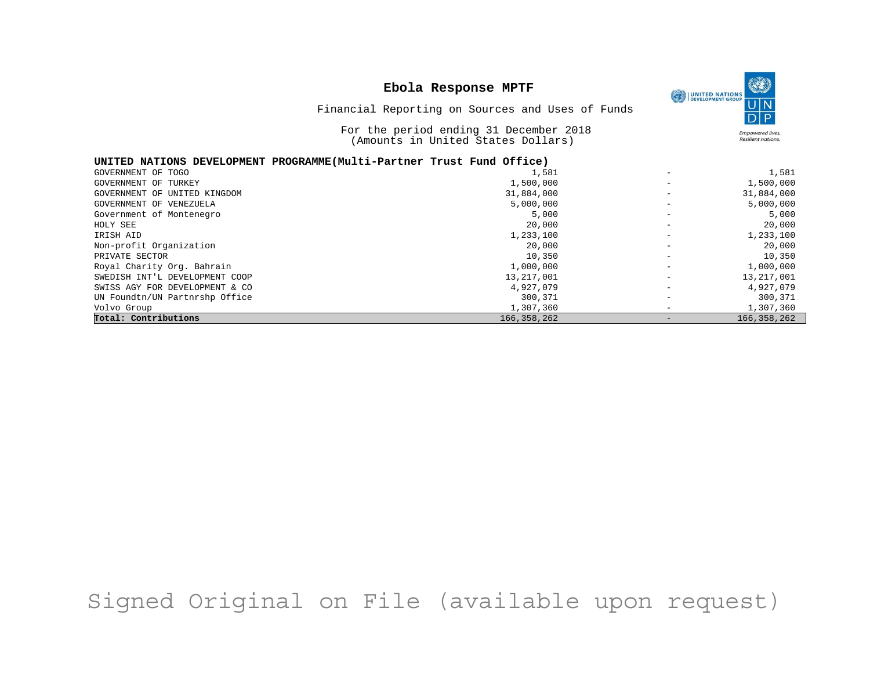

Financial Reporting on Sources and Uses of Funds

For the period ending 31 December 2018

|                                                                       | Amounts in United States Dollars) |                          | Resilient nations. |
|-----------------------------------------------------------------------|-----------------------------------|--------------------------|--------------------|
| UNITED NATIONS DEVELOPMENT PROGRAMME(Multi-Partner Trust Fund Office) |                                   |                          |                    |
| GOVERNMENT OF TOGO                                                    | 1,581                             | $\overline{\phantom{m}}$ | 1,581              |
| GOVERNMENT OF TURKEY                                                  | 1,500,000                         |                          | 1,500,000          |
| GOVERNMENT OF UNITED KINGDOM                                          | 31,884,000                        |                          | 31,884,000         |
| GOVERNMENT OF VENEZUELA                                               | 5,000,000                         |                          | 5,000,000          |
| Government of Montenegro                                              | 5,000                             |                          | 5,000              |
| HOLY SEE                                                              | 20,000                            | $\overline{\phantom{m}}$ | 20,000             |
| IRISH AID                                                             | 1,233,100                         |                          | 1,233,100          |
| Non-profit Organization                                               | 20,000                            |                          | 20,000             |
| PRIVATE SECTOR                                                        | 10,350                            |                          | 10,350             |
| Royal Charity Org. Bahrain                                            | 1,000,000                         | $\overline{\phantom{m}}$ | 1,000,000          |
| SWEDISH INT'L DEVELOPMENT COOP                                        | 13, 217, 001                      |                          | 13, 217, 001       |
| SWISS AGY FOR DEVELOPMENT & CO                                        | 4,927,079                         |                          | 4,927,079          |
| UN Foundtn/UN Partnrshp Office                                        | 300,371                           |                          | 300,371            |
| Volvo Group                                                           | 1,307,360                         |                          | 1,307,360          |
| Total: Contributions                                                  | 166, 358, 262                     |                          | 166,358,262        |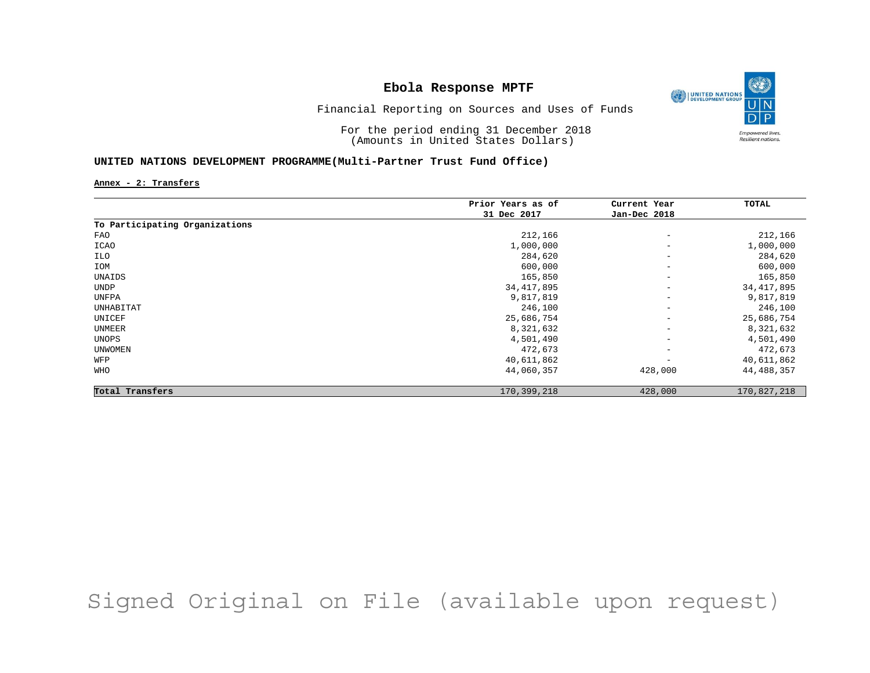

Financial Reporting on Sources and Uses of Funds

For the period ending 31 December 2018 (Amounts in United States Dollars)

### **UNITED NATIONS DEVELOPMENT PROGRAMME(Multi-Partner Trust Fund Office)**

**Annex - 2: Transfers**

|                                | Prior Years as of | Current Year             | TOTAL        |
|--------------------------------|-------------------|--------------------------|--------------|
|                                | 31 Dec 2017       | Jan-Dec 2018             |              |
| To Participating Organizations |                   |                          |              |
| FAO                            | 212,166           | $\overline{\phantom{a}}$ | 212,166      |
| ICAO                           | 1,000,000         | $\qquad \qquad -$        | 1,000,000    |
| ILO                            | 284,620           | $\overline{\phantom{a}}$ | 284,620      |
| IOM                            | 600,000           | $\overline{\phantom{a}}$ | 600,000      |
| UNAIDS                         | 165,850           | $\overline{\phantom{a}}$ | 165,850      |
| UNDP                           | 34, 417, 895      | $\qquad \qquad -$        | 34, 417, 895 |
| UNFPA                          | 9,817,819         | $\qquad \qquad -$        | 9,817,819    |
| UNHABITAT                      | 246,100           | $\qquad \qquad -$        | 246,100      |
| UNICEF                         | 25,686,754        | $\qquad \qquad -$        | 25,686,754   |
| UNMEER                         | 8,321,632         | $\overline{\phantom{a}}$ | 8,321,632    |
| UNOPS                          | 4,501,490         | $\overline{\phantom{a}}$ | 4,501,490    |
| <b>UNWOMEN</b>                 | 472,673           | $\qquad \qquad -$        | 472,673      |
| WFP                            | 40,611,862        | $\overline{\phantom{0}}$ | 40,611,862   |
| WHO                            | 44,060,357        | 428,000                  | 44,488,357   |
| Total Transfers                | 170,399,218       | 428,000                  | 170,827,218  |